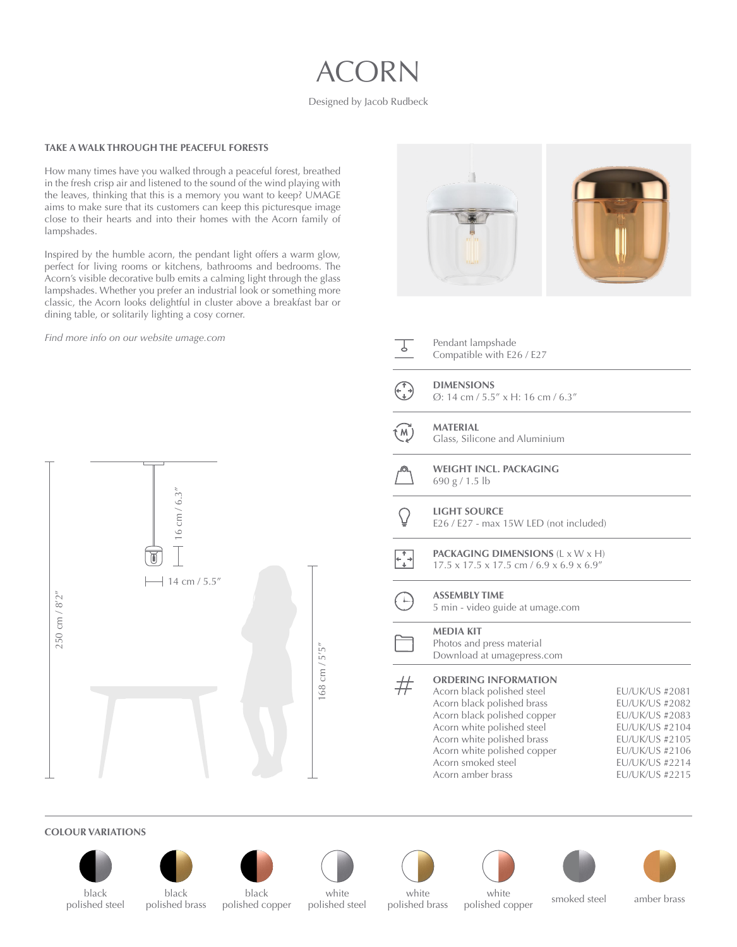# ACORN

#### Designed by Jacob Rudbeck

#### **TAKE A WALK THROUGH THE PEACEFUL FORESTS**

How many times have you walked through a peaceful forest, breathed in the fresh crisp air and listened to the sound of the wind playing with the leaves, thinking that this is a memory you want to keep? UMAGE aims to make sure that its customers can keep this picturesque image close to their hearts and into their homes with the Acorn family of lampshades.

Inspired by the humble acorn, the pendant light offers a warm glow, perfect for living rooms or kitchens, bathrooms and bedrooms. The Acorn's visible decorative bulb emits a calming light through the glass lampshades. Whether you prefer an industrial look or something more classic, the Acorn looks delightful in cluster above a breakfast bar or dining table, or solitarily lighting a cosy corner.

*Find more info on our website [umage.com](http://umage.com)*





Ø: 14 cm / 5.5" x H: 16 cm / 6.3"

**MATERIAL**  $(M)$ 

- Glass, Silicone and Aluminium
- **WEIGHT INCL. PACKAGING** 690 g / 1.5 lb
- **LIGHT SOURCE** E26 / E27 - max 15W LED (not included)
- **PACKAGING DIMENSIONS** (L x W x H)  $\overline{t}$ 17.5 x 17.5 x 17.5 cm / 6.9 x 6.9 x 6.9"

#### **ASSEMBLY TIME**  $\Box$

5 min - video guide at [umage.com](https://www.umage.com/pages/assembly)

## **MEDIA KIT**

Photos and press material Download at umage[p](http://umagepress.com)ress.com

#### **ORDERING INFORMATION**  $\#$

Acorn black polished steel Acorn black polished brass Acorn black polished copper Acorn white polished steel Acorn white polished brass Acorn white polished copper Acorn smoked steel Acorn amber brass

EU/UK/US #2081 EU/UK/US #2082 EU/UK/US #2083 EU/UK/US #2104 EU/UK/US #2105 EU/UK/US #2106 EU/UK/US #2214 EU/UK/US #2215

## **COLOUR VARIATIONS**











white









polished steel

black polished brass

white polished steel polished copper

polished brass

white while **smoked** steel amber brass